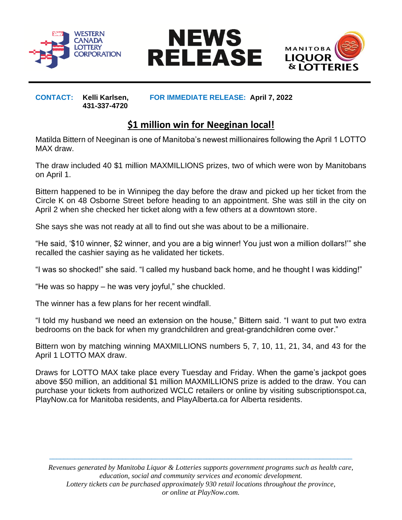





**431-337-4720**

**CONTACT: Kelli Karlsen, FOR IMMEDIATE RELEASE: April 7, 2022**

## **\$1 million win for Neeginan local!**

Matilda Bittern of Neeginan is one of Manitoba's newest millionaires following the April 1 LOTTO MAX draw.

The draw included 40 \$1 million MAXMILLIONS prizes, two of which were won by Manitobans on April 1.

Bittern happened to be in Winnipeg the day before the draw and picked up her ticket from the Circle K on 48 Osborne Street before heading to an appointment. She was still in the city on April 2 when she checked her ticket along with a few others at a downtown store.

She says she was not ready at all to find out she was about to be a millionaire.

"He said, '\$10 winner, \$2 winner, and you are a big winner! You just won a million dollars!'" she recalled the cashier saying as he validated her tickets.

"I was so shocked!" she said. "I called my husband back home, and he thought I was kidding!"

"He was so happy – he was very joyful," she chuckled.

The winner has a few plans for her recent windfall.

"I told my husband we need an extension on the house," Bittern said. "I want to put two extra bedrooms on the back for when my grandchildren and great-grandchildren come over."

Bittern won by matching winning MAXMILLIONS numbers 5, 7, 10, 11, 21, 34, and 43 for the April 1 LOTTO MAX draw.

Draws for LOTTO MAX take place every Tuesday and Friday. When the game's jackpot goes above \$50 million, an additional \$1 million MAXMILLIONS prize is added to the draw. You can purchase your tickets from authorized WCLC retailers or online by visiting subscriptionspot.ca, PlayNow.ca for Manitoba residents, and PlayAlberta.ca for Alberta residents.

*Revenues generated by Manitoba Liquor & Lotteries supports government programs such as health care, education, social and community services and economic development. Lottery tickets can be purchased approximately 930 retail locations throughout the province, or online at PlayNow.com.*

 $\_$  ,  $\_$  ,  $\_$  ,  $\_$  ,  $\_$  ,  $\_$  ,  $\_$  ,  $\_$  ,  $\_$  ,  $\_$  ,  $\_$  ,  $\_$  ,  $\_$  ,  $\_$  ,  $\_$  ,  $\_$  ,  $\_$  ,  $\_$  ,  $\_$  ,  $\_$  ,  $\_$  ,  $\_$  ,  $\_$  ,  $\_$  ,  $\_$  ,  $\_$  ,  $\_$  ,  $\_$  ,  $\_$  ,  $\_$  ,  $\_$  ,  $\_$  ,  $\_$  ,  $\_$  ,  $\_$  ,  $\_$  ,  $\_$  ,